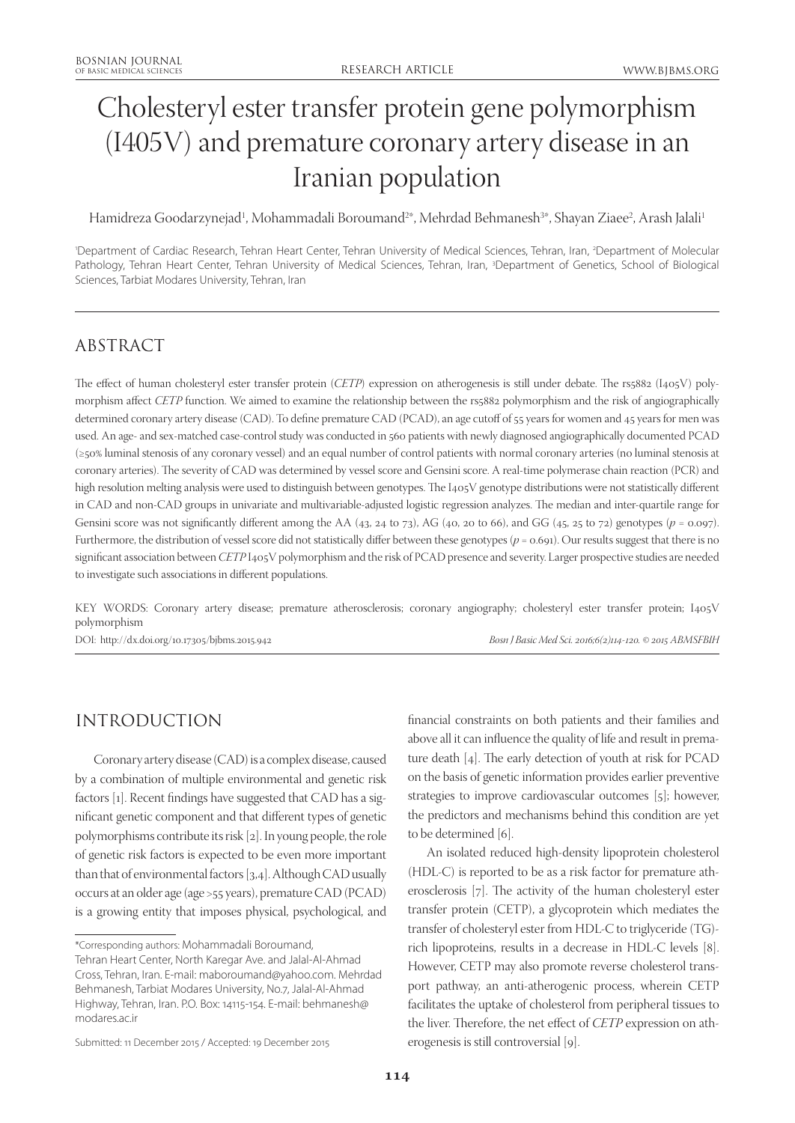# Cholesteryl ester transfer protein gene polymorphism (I405V) and premature coronary artery disease in an Iranian population

Hamidreza Goodarzynejad<sup>1</sup>, Mohammadali Boroumand<sup>2</sup>\*, Mehrdad Behmanesh<sup>3</sup>\*, Shayan Ziaee<sup>2</sup>, Arash Jalali<sup>1</sup>

'Department of Cardiac Research, Tehran Heart Center, Tehran University of Medical Sciences, Tehran, Iran, <sup>2</sup>Department of Molecular Pathology, Tehran Heart Center, Tehran University of Medical Sciences, Tehran, Iran, <sup>3</sup>Department of Genetics, School of Biological Sciences, Tarbiat Modares University, Tehran, Iran

# ABSTRACT

The effect of human cholesteryl ester transfer protein (*CETP*) expression on atherogenesis is still under debate. The rs5882 (I405V) polymorphism affect *CETP* function. We aimed to examine the relationship between the rs5882 polymorphism and the risk of angiographically determined coronary artery disease (CAD). To define premature CAD (PCAD), an age cutoff of 55 years for women and 45 years for men was used. An age- and sex-matched case-control study was conducted in 560 patients with newly diagnosed angiographically documented PCAD (≥50% luminal stenosis of any coronary vessel) and an equal number of control patients with normal coronary arteries (no luminal stenosis at coronary arteries). The severity of CAD was determined by vessel score and Gensini score. A real-time polymerase chain reaction (PCR) and high resolution melting analysis were used to distinguish between genotypes. The I405V genotype distributions were not statistically different in CAD and non-CAD groups in univariate and multivariable-adjusted logistic regression analyzes. The median and inter-quartile range for Gensini score was not significantly different among the AA (43, 24 to 73), AG (40, 20 to 66), and GG (45, 25 to 72) genotypes ( $p = 0.097$ ). Furthermore, the distribution of vessel score did not statistically differ between these genotypes ( $p = 0.691$ ). Our results suggest that there is no significant association between *CETP* I405V polymorphism and the risk of PCAD presence and severity. Larger prospective studies are needed to investigate such associations in different populations.

KEY WORDS: Coronary artery disease; premature atherosclerosis; coronary angiography; cholesteryl ester transfer protein; I405V polymorphism

DOI: http://dx.doi.org/10.17305/bjbms.2015.942 *Bosn J Basic Med Sci. 2016;6(2)114-120. © 2015 ABMSFBIH*

# INTRODUCTION

Coronary artery disease (CAD) is a complex disease, caused by a combination of multiple environmental and genetic risk factors [1]. Recent findings have suggested that CAD has a significant genetic component and that different types of genetic polymorphisms contribute its risk [2]. In young people, the role of genetic risk factors is expected to be even more important than that of environmental factors [3,4]. Although CAD usually occurs at an older age (age >55 years), premature CAD (PCAD) is a growing entity that imposes physical, psychological, and

above all it can influence the quality of life and result in premature death [4]. The early detection of youth at risk for PCAD on the basis of genetic information provides earlier preventive strategies to improve cardiovascular outcomes [5]; however, the predictors and mechanisms behind this condition are yet to be determined [6].

financial constraints on both patients and their families and

An isolated reduced high-density lipoprotein cholesterol (HDL-C) is reported to be as a risk factor for premature atherosclerosis [7]. The activity of the human cholesteryl ester transfer protein (CETP), a glycoprotein which mediates the transfer of cholesteryl ester from HDL-C to triglyceride (TG) rich lipoproteins, results in a decrease in HDL-C levels [8]. However, CETP may also promote reverse cholesterol transport pathway, an anti-atherogenic process, wherein CETP facilitates the uptake of cholesterol from peripheral tissues to the liver. Therefore, the net effect of *CETP* expression on atherogenesis is still controversial [9].

<sup>\*</sup>Corresponding authors: Mohammadali Boroumand, Tehran Heart Center, North Karegar Ave. and Jalal-Al-Ahmad Cross, Tehran, Iran. E-mail: maboroumand@yahoo.com. Mehrdad Behmanesh, Tarbiat Modares University, No.7, Jalal-Al-Ahmad Highway, Tehran, Iran. P.O. Box: 14115-154. E-mail: behmanesh@ modares.ac.ir

Submitted: 11 December 2015 / Accepted: 19 December 2015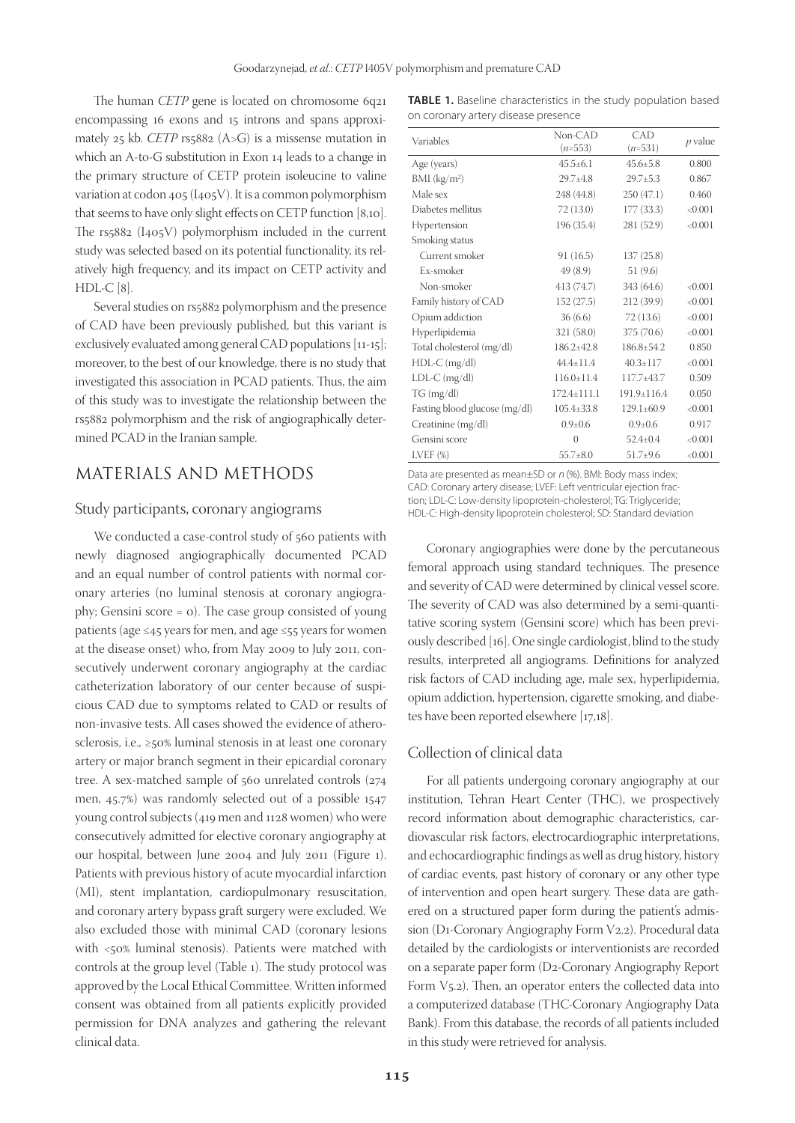The human *CETP* gene is located on chromosome 6q21 encompassing 16 exons and 15 introns and spans approximately 25 kb. *CETP* rs5882 (A>G) is a missense mutation in which an A-to-G substitution in Exon 14 leads to a change in the primary structure of CETP protein isoleucine to valine variation at codon 405 (I405V). It is a common polymorphism that seems to have only slight effects on CETP function [8,10]. The rs5882 (I405V) polymorphism included in the current study was selected based on its potential functionality, its relatively high frequency, and its impact on CETP activity and HDL-C [8].

Several studies on rs5882 polymorphism and the presence of CAD have been previously published, but this variant is exclusively evaluated among general CAD populations [11-15]; moreover, to the best of our knowledge, there is no study that investigated this association in PCAD patients. Thus, the aim of this study was to investigate the relationship between the rs5882 polymorphism and the risk of angiographically determined PCAD in the Iranian sample.

# MATERIALS AND METHODS

#### Study participants, coronary angiograms

We conducted a case-control study of 560 patients with newly diagnosed angiographically documented PCAD and an equal number of control patients with normal coronary arteries (no luminal stenosis at coronary angiography; Gensini score = 0). The case group consisted of young patients (age ≤45 years for men, and age ≤55 years for women at the disease onset) who, from May 2009 to July 2011, consecutively underwent coronary angiography at the cardiac catheterization laboratory of our center because of suspicious CAD due to symptoms related to CAD or results of non-invasive tests. All cases showed the evidence of atherosclerosis, i.e., ≥50% luminal stenosis in at least one coronary artery or major branch segment in their epicardial coronary tree. A sex-matched sample of 560 unrelated controls (274 men, 45.7%) was randomly selected out of a possible 1547 young control subjects (419 men and 1128 women) who were consecutively admitted for elective coronary angiography at our hospital, between June 2004 and July 2011 (Figure 1). Patients with previous history of acute myocardial infarction (MI), stent implantation, cardiopulmonary resuscitation, and coronary artery bypass graft surgery were excluded. We also excluded those with minimal CAD (coronary lesions with <50% luminal stenosis). Patients were matched with controls at the group level (Table 1). The study protocol was approved by the Local Ethical Committee. Written informed consent was obtained from all patients explicitly provided permission for DNA analyzes and gathering the relevant clinical data.

**TABLE 1.** Baseline characteristics in the study population based on coronary artery disease presence

| Variables                     | $Non-CAD$        | CAD               |           |  |
|-------------------------------|------------------|-------------------|-----------|--|
|                               | $(n=553)$        | $(n=531)$         | $p$ value |  |
| Age (years)                   | $45.5 \pm 6.1$   | $45.6 + 5.8$      | 0.800     |  |
| BMI (kg/m <sup>2</sup> )      | $29.7 \pm 4.8$   | $29.7 \pm 5.3$    | 0.867     |  |
| Male sex                      | 248 (44.8)       | 250(47.1)         | 0.460     |  |
| Diabetes mellitus             | 72 (13.0)        | 177(33.3)         | < 0.001   |  |
| Hypertension                  | 196 (35.4)       | 281 (52.9)        | < 0.001   |  |
| Smoking status                |                  |                   |           |  |
| Current smoker                | 91(16.5)         | 137(25.8)         |           |  |
| Ex-smoker                     | 49(8.9)          | 51(9.6)           |           |  |
| Non-smoker                    | 413 (74.7)       | 343 (64.6)        | < 0.001   |  |
| Family history of CAD         | 152(27.5)        | 212(39.9)         | < 0.001   |  |
| Opium addiction               | 36(6.6)          | 72 (13.6)         | < 0.001   |  |
| Hyperlipidemia                | 321 (58.0)       | 375 (70.6)        | < 0.001   |  |
| Total cholesterol (mg/dl)     | $186.2 + 42.8$   | $186.8 + 54.2$    | 0.850     |  |
| $HDL-C$ (mg/dl)               | $44.4 + 11.4$    | $40.3 + 117$      | < 0.001   |  |
| $LDL-C$ (mg/dl)               | $116.0 \pm 11.4$ | 117.7±43.7        | 0.509     |  |
| TG (mg/dl)                    | $172.4 + 111.1$  | $191.9 \pm 116.4$ | 0.050     |  |
| Fasting blood glucose (mg/dl) | $105.4{\pm}33.8$ | $129.1 \pm 60.9$  | < 0.001   |  |
| Creatinine (mg/dl)            | $0.9 \pm 0.6$    | $0.9 \pm 0.6$     | 0.917     |  |
| Gensini score                 | $\left($         | $52.4 \pm 0.4$    | < 0.001   |  |
| $LVEF$ $(\%)$                 | $55.7 \pm 8.0$   | $51.7 \pm 9.6$    | < 0.001   |  |

Data are presented as mean±SD or <sup>n</sup> (%). BMI: Body mass index; CAD: Coronary artery disease; LVEF: Left ventricular ejection fraction; LDL-C: Low-density lipoprotein-cholesterol; TG: Triglyceride; HDL-C: High-density lipoprotein cholesterol; SD: Standard deviation

Coronary angiographies were done by the percutaneous femoral approach using standard techniques. The presence and severity of CAD were determined by clinical vessel score. The severity of CAD was also determined by a semi-quantitative scoring system (Gensini score) which has been previously described [16]. One single cardiologist, blind to the study results, interpreted all angiograms. Definitions for analyzed risk factors of CAD including age, male sex, hyperlipidemia, opium addiction, hypertension, cigarette smoking, and diabetes have been reported elsewhere [17,18].

### Collection of clinical data

For all patients undergoing coronary angiography at our institution, Tehran Heart Center (THC), we prospectively record information about demographic characteristics, cardiovascular risk factors, electrocardiographic interpretations, and echocardiographic findings as well as drug history, history of cardiac events, past history of coronary or any other type of intervention and open heart surgery. These data are gathered on a structured paper form during the patient's admission (D1-Coronary Angiography Form V2.2). Procedural data detailed by the cardiologists or interventionists are recorded on a separate paper form (D2-Coronary Angiography Report Form  $V_{5.2}$ ). Then, an operator enters the collected data into a computerized database (THC-Coronary Angiography Data Bank). From this database, the records of all patients included in this study were retrieved for analysis.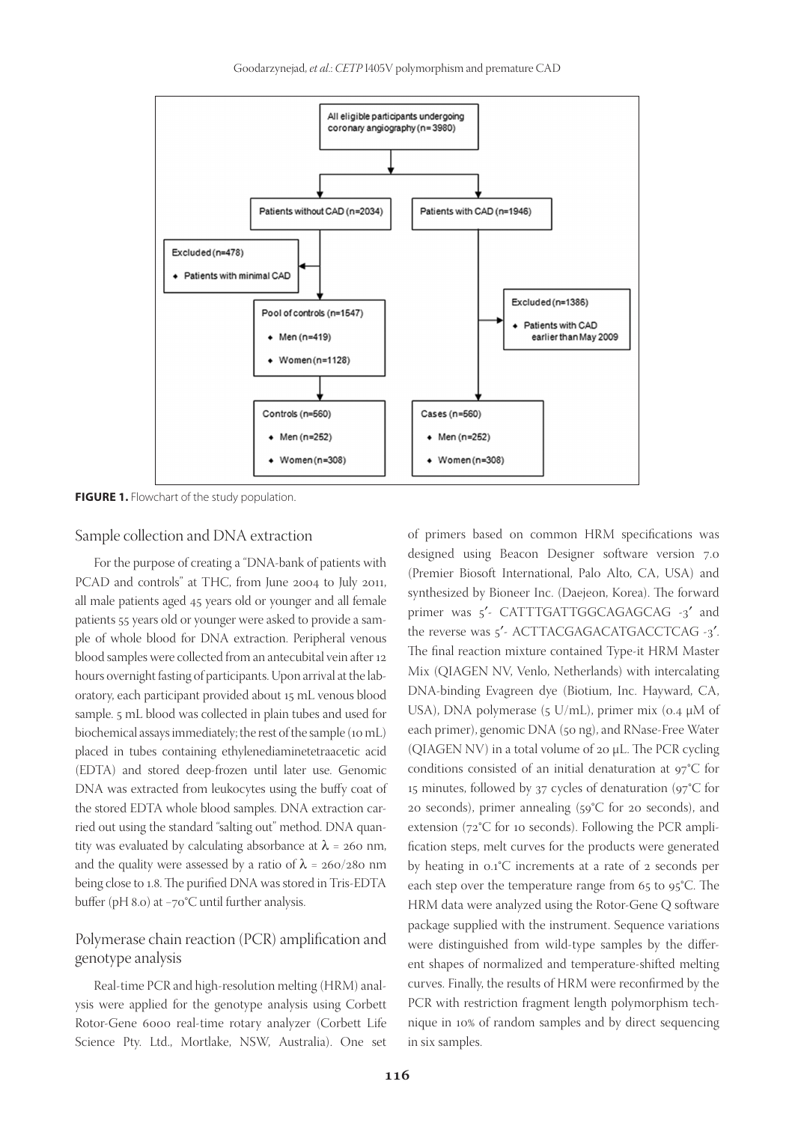

**FIGURE 1.** Flowchart of the study population.

#### Sample collection and DNA extraction

For the purpose of creating a "DNA-bank of patients with PCAD and controls" at THC, from June 2004 to July 2011, all male patients aged 45 years old or younger and all female patients 55 years old or younger were asked to provide a sample of whole blood for DNA extraction. Peripheral venous blood samples were collected from an antecubital vein after 12 hours overnight fasting of participants. Upon arrival at the laboratory, each participant provided about 15 mL venous blood sample. 5 mL blood was collected in plain tubes and used for biochemical assays immediately; the rest of the sample (10 mL) placed in tubes containing ethylenediaminetetraacetic acid (EDTA) and stored deep-frozen until later use. Genomic DNA was extracted from leukocytes using the buffy coat of the stored EDTA whole blood samples. DNA extraction carried out using the standard "salting out" method. DNA quantity was evaluated by calculating absorbance at  $\lambda$  = 260 nm, and the quality were assessed by a ratio of  $\lambda = 260/280$  nm being close to 1.8. The purified DNA was stored in Tris-EDTA buffer (pH 8.0) at −70°C until further analysis.

## Polymerase chain reaction (PCR) amplification and genotype analysis

Real-time PCR and high-resolution melting (HRM) analysis were applied for the genotype analysis using Corbett Rotor-Gene 6000 real-time rotary analyzer (Corbett Life Science Pty. Ltd., Mortlake, NSW, Australia). One set

of primers based on common HRM specifications was designed using Beacon Designer software version 7.0 (Premier Biosoft International, Palo Alto, CA, USA) and synthesized by Bioneer Inc. (Daejeon, Korea). The forward primer was 5'- CATTTGATTGGCAGAGCAG -3' and the reverse was 5'- ACTTACGAGACATGACCTCAG -3'. The final reaction mixture contained Type-it HRM Master Mix (QIAGEN NV, Venlo, Netherlands) with intercalating DNA-binding Evagreen dye (Biotium, Inc. Hayward, CA, USA), DNA polymerase (5 U/mL), primer mix (0.4  $\mu$ M of each primer), genomic DNA (50 ng), and RNase-Free Water (QIAGEN NV) in a total volume of 20 µL. The PCR cycling conditions consisted of an initial denaturation at 97°C for 15 minutes, followed by 37 cycles of denaturation (97°C for 20 seconds), primer annealing (59°C for 20 seconds), and extension (72°C for 10 seconds). Following the PCR amplification steps, melt curves for the products were generated by heating in 0.1°C increments at a rate of 2 seconds per each step over the temperature range from 65 to 95°C. The HRM data were analyzed using the Rotor-Gene Q software package supplied with the instrument. Sequence variations were distinguished from wild-type samples by the different shapes of normalized and temperature-shifted melting curves. Finally, the results of HRM were reconfirmed by the PCR with restriction fragment length polymorphism technique in 10% of random samples and by direct sequencing in six samples.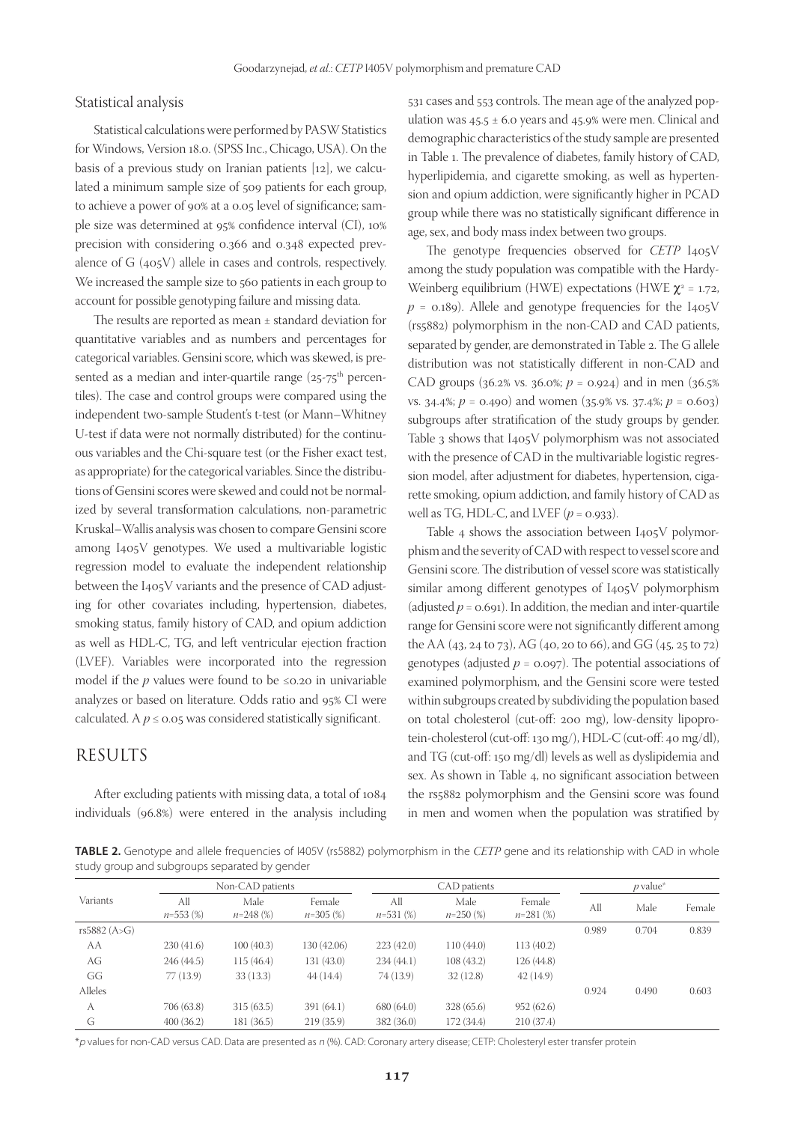#### Statistical analysis

Statistical calculations were performed by PASW Statistics for Windows, Version 18.0. (SPSS Inc., Chicago, USA). On the basis of a previous study on Iranian patients [12], we calculated a minimum sample size of 509 patients for each group, to achieve a power of 90% at a 0.05 level of significance; sample size was determined at 95% confidence interval (CI), 10% precision with considering 0.366 and 0.348 expected prevalence of G (405V) allele in cases and controls, respectively. We increased the sample size to 560 patients in each group to account for possible genotyping failure and missing data.

The results are reported as mean ± standard deviation for quantitative variables and as numbers and percentages for categorical variables. Gensini score, which was skewed, is presented as a median and inter-quartile range  $(25-75^{\text{th}})$  percentiles). The case and control groups were compared using the independent two-sample Student's t-test (or Mann–Whitney U-test if data were not normally distributed) for the continuous variables and the Chi-square test (or the Fisher exact test, as appropriate) for the categorical variables. Since the distributions of Gensini scores were skewed and could not be normalized by several transformation calculations, non-parametric Kruskal–Wallis analysis was chosen to compare Gensini score among I405V genotypes. We used a multivariable logistic regression model to evaluate the independent relationship between the I405V variants and the presence of CAD adjusting for other covariates including, hypertension, diabetes, smoking status, family history of CAD, and opium addiction as well as HDL-C, TG, and left ventricular ejection fraction (LVEF). Variables were incorporated into the regression model if the  $p$  values were found to be  $\leq 0.20$  in univariable analyzes or based on literature. Odds ratio and 95% CI were calculated. A  $p \le 0.05$  was considered statistically significant.

# RESULTS

After excluding patients with missing data, a total of 1084 individuals (96.8%) were entered in the analysis including 531 cases and 553 controls. The mean age of the analyzed population was  $45.5 \pm 6.0$  years and  $45.9\%$  were men. Clinical and demographic characteristics of the study sample are presented in Table 1. The prevalence of diabetes, family history of CAD, hyperlipidemia, and cigarette smoking, as well as hypertension and opium addiction, were significantly higher in PCAD group while there was no statistically significant difference in age, sex, and body mass index between two groups.

The genotype frequencies observed for *CETP* I405V among the study population was compatible with the Hardy-Weinberg equilibrium (HWE) expectations (HWE  $\chi^2$  = 1.72,  $p = 0.189$ . Allele and genotype frequencies for the I<sub>405</sub>V (rs5882) polymorphism in the non-CAD and CAD patients, separated by gender, are demonstrated in Table 2. The G allele distribution was not statistically different in non-CAD and CAD groups ( $36.2\%$  vs.  $36.0\%$ ;  $p = 0.924$ ) and in men ( $36.5\%$ ) vs. 34.4%; *p* = 0.490) and women (35.9% vs. 37.4%; *p* = 0.603) subgroups after stratification of the study groups by gender. Table 3 shows that I405V polymorphism was not associated with the presence of CAD in the multivariable logistic regression model, after adjustment for diabetes, hypertension, cigarette smoking, opium addiction, and family history of CAD as well as TG, HDL-C, and LVEF  $(p = 0.933)$ .

Table 4 shows the association between I405V polymorphism and the severity of CAD with respect to vessel score and Gensini score. The distribution of vessel score was statistically similar among different genotypes of I405V polymorphism (adjusted  $p = 0.691$ ). In addition, the median and inter-quartile range for Gensini score were not significantly different among the AA (43, 24 to 73), AG (40, 20 to 66), and GG (45, 25 to 72) genotypes (adjusted  $p = 0.097$ ). The potential associations of examined polymorphism, and the Gensini score were tested within subgroups created by subdividing the population based on total cholesterol (cut-off: 200 mg), low-density lipoprotein-cholesterol (cut-off: 130 mg/), HDL-C (cut-off: 40 mg/dl), and TG (cut-off: 150 mg/dl) levels as well as dyslipidemia and sex. As shown in Table 4, no significant association between the rs5882 polymorphism and the Gensini score was found in men and women when the population was stratified by

**TABLE 2.** Genotype and allele frequencies of I405V (rs5882) polymorphism in the *CETP* gene and its relationship with CAD in whole study group and subgroups separated by gender

|              |                    | Non-CAD patients    |                       |                    | CAD patients       |                      |       | $p$ value <sup>*</sup> |        |
|--------------|--------------------|---------------------|-----------------------|--------------------|--------------------|----------------------|-------|------------------------|--------|
| Variants     | All<br>$n=553$ (%) | Male<br>$n=248$ (%) | Female<br>$n=305$ (%) | All<br>$n=531$ (%) | Male<br>$n=250(%)$ | Female<br>$n=281(%)$ | All   | Male                   | Female |
| rs5882 (A>G) |                    |                     |                       |                    |                    |                      | 0.989 | 0.704                  | 0.839  |
| AA           | 230(41.6)          | 100(40.3)           | 130 (42.06)           | 223(42.0)          | 110(44.0)          | 113(40.2)            |       |                        |        |
| AG           | 246(44.5)          | 115(46.4)           | 131(43.0)             | 234(44.1)          | 108(43.2)          | 126(44.8)            |       |                        |        |
| GG           | 77(13.9)           | 33(13.3)            | 44(14.4)              | 74 (13.9)          | 32(12.8)           | 42(14.9)             |       |                        |        |
| Alleles      |                    |                     |                       |                    |                    |                      | 0.924 | 0.490                  | 0.603  |
| A            | 706 (63.8)         | 315(63.5)           | 391(64.1)             | 680(64.0)          | 328 (65.6)         | 952(62.6)            |       |                        |        |
| G            | 400(36.2)          | 181 (36.5)          | 219(35.9)             | 382 (36.0)         | 172 (34.4)         | 210(37.4)            |       |                        |        |

\*p values for non-CAD versus CAD. Data are presented as <sup>n</sup> (%). CAD: Coronary artery disease; CETP: Cholesteryl ester transfer protein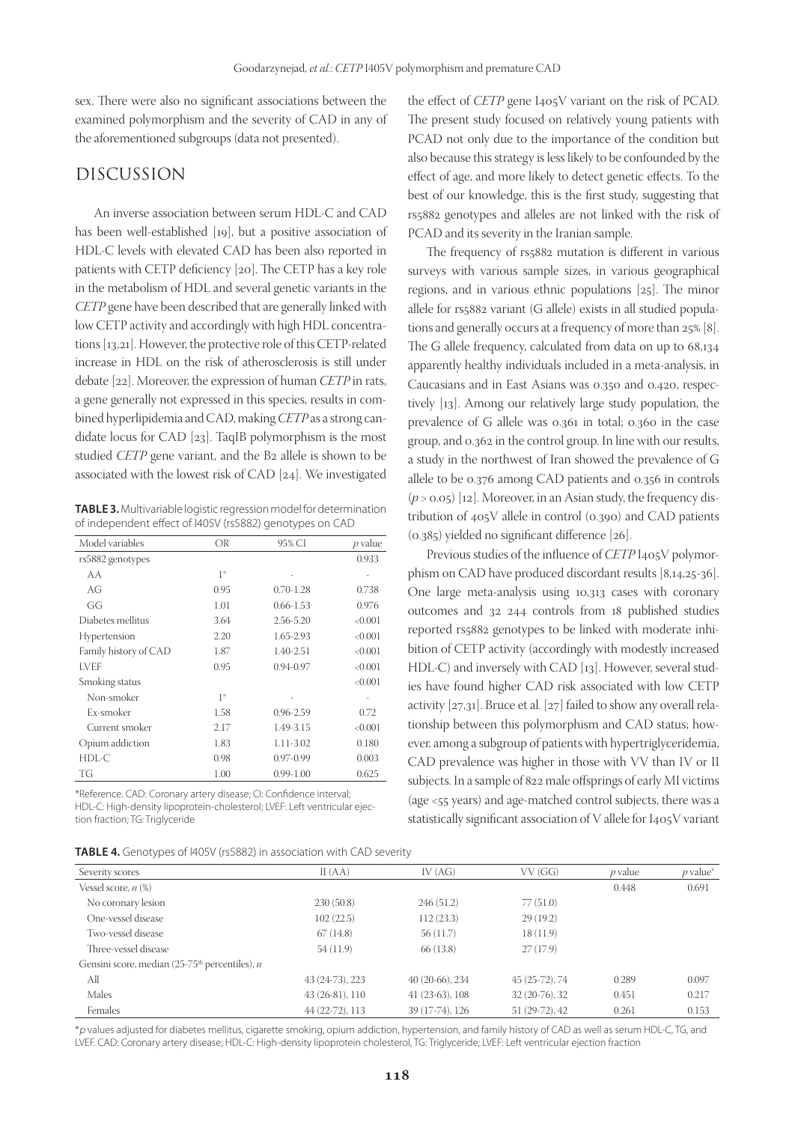sex. There were also no significant associations between the examined polymorphism and the severity of CAD in any of the aforementioned subgroups (data not presented).

## DISCUSSION

An inverse association between serum HDL-C and CAD has been well-established [19], but a positive association of HDL-C levels with elevated CAD has been also reported in patients with CETP deficiency [20]. The CETP has a key role in the metabolism of HDL and several genetic variants in the *CETP* gene have been described that are generally linked with low CETP activity and accordingly with high HDL concentrations [13,21]. However, the protective role of this CETP-related increase in HDL on the risk of atherosclerosis is still under debate [22]. Moreover, the expression of human *CETP* in rats, a gene generally not expressed in this species, results in combined hyperlipidemia and CAD, making *CETP* as a strong candidate locus for CAD [23]. TaqIB polymorphism is the most studied *CETP* gene variant, and the B2 allele is shown to be associated with the lowest risk of CAD [24]. We investigated

**TABLE 3.** Multivariable logistic regression model for determination of independent effect of I405V (rs5882) genotypes on CAD

| Model variables       | OR   | 95% CI        | p value |
|-----------------------|------|---------------|---------|
| rs5882 genotypes      |      |               | 0.933   |
| AA                    | $1*$ |               |         |
| AG                    | 0.95 | $0.70 - 1.28$ | 0.738   |
| GG                    | 1.01 | $0.66 - 1.53$ | 0.976   |
| Diabetes mellitus     | 3.64 | 2.56-5.20     | < 0.001 |
| Hypertension          | 2.20 | 1.65-2.93     | < 0.001 |
| Family history of CAD | 1.87 | 1.40-2.51     | < 0.001 |
| LVEF                  | 0.95 | $0.94 - 0.97$ | < 0.001 |
| Smoking status        |      |               | < 0.001 |
| Non-smoker            | $1*$ |               |         |
| Ex-smoker             | 1.58 | $0.96 - 2.59$ | 0.72    |
| Current smoker        | 2.17 | 1.49-3.15     | < 0.001 |
| Opium addiction       | 1.83 | 1.11-3.02     | 0.180   |
| HDL-C                 | 0.98 | $0.97 - 0.99$ | 0.003   |
| TG                    | 1.00 | $0.99 - 1.00$ | 0.625   |

\*Reference. CAD: Coronary artery disease; CI: Confidence interval; HDL-C: High-density lipoprotein-cholesterol; LVEF: Left ventricular ejection fraction; TG: Triglyceride

| TABLE 4. Genotypes of I405V (rs5882) in association with CAD severity |  |  |  |  |
|-----------------------------------------------------------------------|--|--|--|--|
|-----------------------------------------------------------------------|--|--|--|--|

the effect of *CETP* gene I405V variant on the risk of PCAD. The present study focused on relatively young patients with PCAD not only due to the importance of the condition but also because this strategy is less likely to be confounded by the effect of age, and more likely to detect genetic effects. To the best of our knowledge, this is the first study, suggesting that rs5882 genotypes and alleles are not linked with the risk of PCAD and its severity in the Iranian sample.

The frequency of rs5882 mutation is different in various surveys with various sample sizes, in various geographical regions, and in various ethnic populations [25]. The minor allele for rs5882 variant (G allele) exists in all studied populations and generally occurs at a frequency of more than 25% [8]. The G allele frequency, calculated from data on up to 68,134 apparently healthy individuals included in a meta-analysis, in Caucasians and in East Asians was 0.350 and 0.420, respectively [13]. Among our relatively large study population, the prevalence of G allele was 0.361 in total; 0.360 in the case group, and 0.362 in the control group. In line with our results, a study in the northwest of Iran showed the prevalence of G allele to be 0.376 among CAD patients and 0.356 in controls  $(p > 0.05)$  [12]. Moreover, in an Asian study, the frequency distribution of 405V allele in control (0.390) and CAD patients (0.385) yielded no significant difference [26].

Previous studies of the influence of *CETP* I<sub>405</sub>V polymorphism on CAD have produced discordant results [8,14,25-36]. One large meta-analysis using 10,313 cases with coronary outcomes and 32 244 controls from 18 published studies reported rs5882 genotypes to be linked with moderate inhibition of CETP activity (accordingly with modestly increased HDL-C) and inversely with CAD [13]. However, several studies have found higher CAD risk associated with low CETP activity [27,31]. Bruce et al. [27] failed to show any overall relationship between this polymorphism and CAD status; however, among a subgroup of patients with hypertriglyceridemia, CAD prevalence was higher in those with VV than IV or II subjects. In a sample of 822 male offsprings of early MI victims (age <55 years) and age-matched control subjects, there was a statistically significant association of V allele for I405V variant

| Severity scores                                         | II(AA)          | IV(AG)           | VV(GG)         | $p$ value | $p$ value* |
|---------------------------------------------------------|-----------------|------------------|----------------|-----------|------------|
| Vessel score, $n$ $(\%)$                                |                 |                  |                | 0.448     | 0.691      |
| No coronary lesion                                      | 230(50.8)       | 246(51.2)        | 77 (51.0)      |           |            |
| One-vessel disease                                      | 102(22.5)       | 112(23.3)        | 29(19.2)       |           |            |
| Two-vessel disease                                      | 67(14.8)        | 56(11.7)         | 18(11.9)       |           |            |
| Three-vessel disease                                    | 54 (11.9)       | 66 (13.8)        | 27(17.9)       |           |            |
| Gensini score, median $(25-75th$ percentiles), <i>n</i> |                 |                  |                |           |            |
| All                                                     | 43 (24-73), 223 | 40 (20-66), 234  | 45 (25-72), 74 | 0.289     | 0.097      |
| Males                                                   | 43 (26-81), 110 | $41(23-63), 108$ | 32 (20-76), 32 | 0.451     | 0.217      |
| Females                                                 | 44 (22-72), 113 | 39 (17-74), 126  | 51 (29-72), 42 | 0.261     | 0.153      |
|                                                         |                 |                  |                |           |            |

\*p values adjusted for diabetes mellitus, cigarette smoking, opium addiction, hypertension, and family history of CAD as well as serum HDL-C, TG, and LVEF. CAD: Coronary artery disease; HDL-C: High-density lipoprotein cholesterol, TG: Triglyceride; LVEF: Left ventricular ejection fraction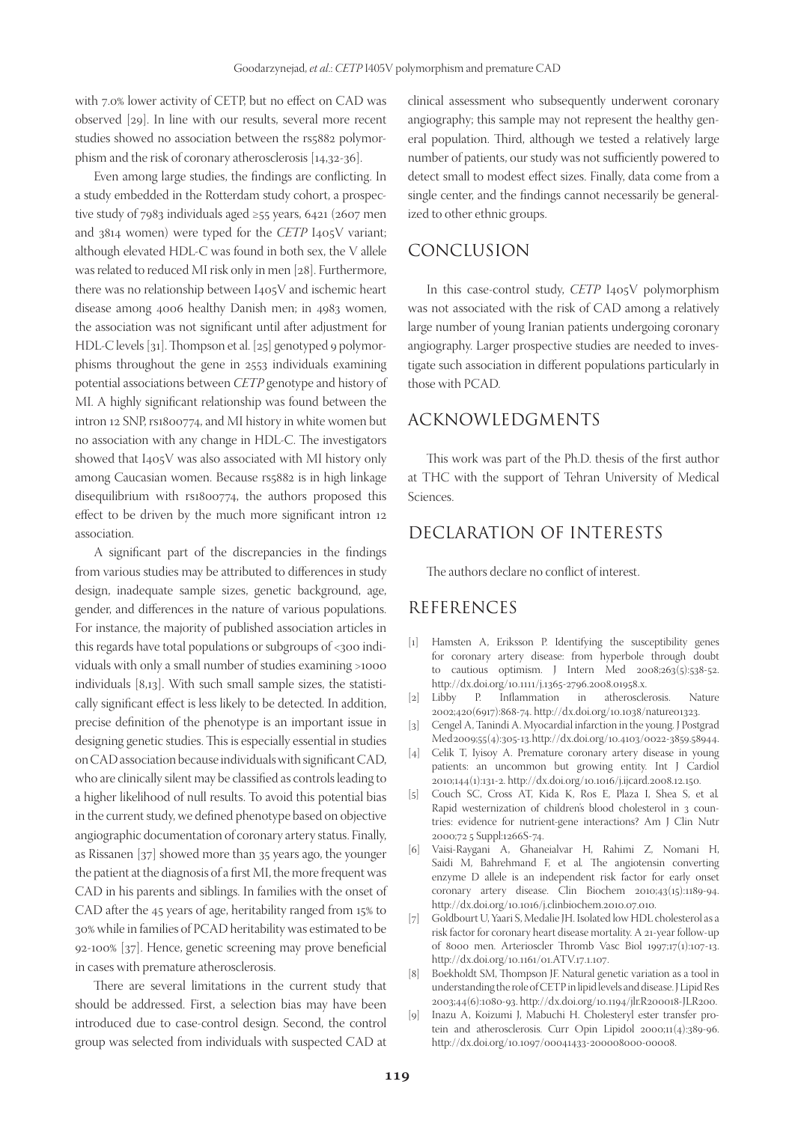with 7.0% lower activity of CETP, but no effect on CAD was observed [29]. In line with our results, several more recent studies showed no association between the rs5882 polymorphism and the risk of coronary atherosclerosis [14,32-36].

Even among large studies, the findings are conflicting. In a study embedded in the Rotterdam study cohort, a prospective study of 7983 individuals aged ≥55 years, 6421 (2607 men and 3814 women) were typed for the *CETP* I405V variant; although elevated HDL-C was found in both sex, the V allele was related to reduced MI risk only in men [28]. Furthermore, there was no relationship between I405V and ischemic heart disease among 4006 healthy Danish men; in 4983 women, the association was not significant until after adjustment for HDL-C levels [31]. Thompson et al. [25] genotyped 9 polymorphisms throughout the gene in 2553 individuals examining potential associations between *CETP* genotype and history of MI. A highly significant relationship was found between the intron 12 SNP, rs1800774, and MI history in white women but no association with any change in HDL-C. The investigators showed that I405V was also associated with MI history only among Caucasian women. Because rs5882 is in high linkage disequilibrium with rs1800774, the authors proposed this effect to be driven by the much more significant intron 12 association.

A significant part of the discrepancies in the findings from various studies may be attributed to differences in study design, inadequate sample sizes, genetic background, age, gender, and differences in the nature of various populations. For instance, the majority of published association articles in this regards have total populations or subgroups of <300 individuals with only a small number of studies examining >1000 individuals [8,13]. With such small sample sizes, the statistically significant effect is less likely to be detected. In addition, precise definition of the phenotype is an important issue in designing genetic studies. This is especially essential in studies on CAD association because individuals with significant CAD, who are clinically silent may be classified as controls leading to a higher likelihood of null results. To avoid this potential bias in the current study, we defined phenotype based on objective angiographic documentation of coronary artery status. Finally, as Rissanen [37] showed more than 35 years ago, the younger the patient at the diagnosis of a first MI, the more frequent was CAD in his parents and siblings. In families with the onset of CAD after the 45 years of age, heritability ranged from 15% to 30% while in families of PCAD heritability was estimated to be 92-100% [37]. Hence, genetic screening may prove beneficial in cases with premature atherosclerosis.

There are several limitations in the current study that should be addressed. First, a selection bias may have been introduced due to case-control design. Second, the control group was selected from individuals with suspected CAD at

clinical assessment who subsequently underwent coronary angiography; this sample may not represent the healthy general population. Third, although we tested a relatively large number of patients, our study was not sufficiently powered to detect small to modest effect sizes. Finally, data come from a single center, and the findings cannot necessarily be generalized to other ethnic groups.

#### CONCLUSION

In this case-control study, *CETP* I405V polymorphism was not associated with the risk of CAD among a relatively large number of young Iranian patients undergoing coronary angiography. Larger prospective studies are needed to investigate such association in different populations particularly in those with PCAD.

# ACKNOWLEDGMENTS

This work was part of the Ph.D. thesis of the first author at THC with the support of Tehran University of Medical Sciences.

# DECLARATION OF INTERESTS

The authors declare no conflict of interest.

## REFERENCES

- [1] Hamsten A, Eriksson P. Identifying the susceptibility genes for coronary artery disease: from hyperbole through doubt to cautious optimism. J Intern Med 2008;263(5):538-52. http://dx.doi.org/10.1111/j.1365-2796.2008.01958.x.<br>[2] Libby P. Inflammation in atheroscle
- in atherosclerosis. Nature 2002;420(6917):868-74. http://dx.doi.org/10.1038/nature01323.
- [3] Cengel A, Tanindi A. Myocardial infarction in the young. J Postgrad Med 2009;55(4):305-13. http://dx.doi.org/10.4103/0022-3859.58944.
- [4] Celik T, Iyisoy A. Premature coronary artery disease in young patients: an uncommon but growing entity. Int J Cardiol 2010;144(1):131-2. http://dx.doi.org/10.1016/j.ijcard.2008.12.150.
- [5] Couch SC, Cross AT, Kida K, Ros E, Plaza I, Shea S, et al*.* Rapid westernization of children's blood cholesterol in 3 countries: evidence for nutrient-gene interactions? Am J Clin Nutr 2000;72 5 Suppl:1266S-74.
- [6] Vaisi-Raygani A, Ghaneialvar H, Rahimi Z, Nomani H, Saidi M, Bahrehmand F, et al*.* The angiotensin converting enzyme D allele is an independent risk factor for early onset coronary artery disease. Clin Biochem 2010;43(15):1189-94. http://dx.doi.org/10.1016/j.clinbiochem.2010.07.010.
- [7] Goldbourt U, Yaari S, Medalie JH. Isolated low HDL cholesterol as a risk factor for coronary heart disease mortality. A 21-year follow-up of 8000 men. Arterioscler Thromb Vasc Biol 1997;17(1):107-13. http://dx.doi.org/10.1161/01.ATV.17.1.107.
- [8] Boekholdt SM, Thompson JF. Natural genetic variation as a tool in understanding the role of CETP in lipid levels and disease. J Lipid Res 2003;44(6):1080-93. http://dx.doi.org/10.1194/jlr.R200018-JLR200.
- [9] Inazu A, Koizumi J, Mabuchi H. Cholesteryl ester transfer protein and atherosclerosis. Curr Opin Lipidol 2000;11(4):389-96. http://dx.doi.org/10.1097/00041433-200008000-00008.